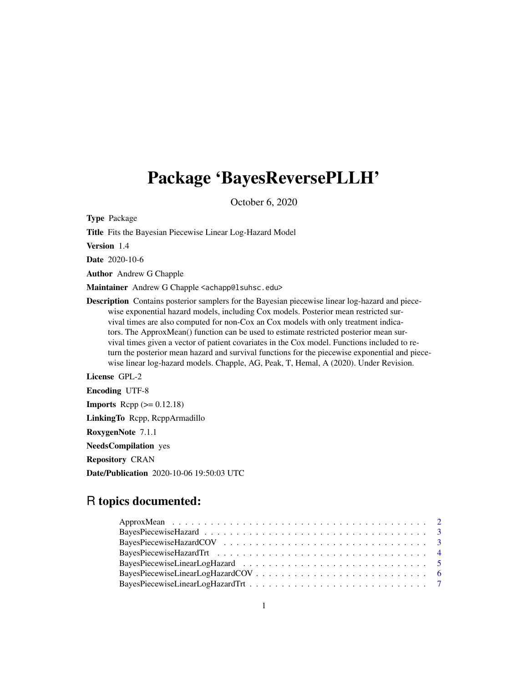## Package 'BayesReversePLLH'

October 6, 2020

Type Package Title Fits the Bayesian Piecewise Linear Log-Hazard Model Version 1.4 Date 2020-10-6 Author Andrew G Chapple Maintainer Andrew G Chapple <achapp@lsuhsc.edu> Description Contains posterior samplers for the Bayesian piecewise linear log-hazard and piecewise exponential hazard models, including Cox models. Posterior mean restricted survival times are also computed for non-Cox an Cox models with only treatment indicators. The ApproxMean() function can be used to estimate restricted posterior mean survival times given a vector of patient covariates in the Cox model. Functions included to return the posterior mean hazard and survival functions for the piecewise exponential and piecewise linear log-hazard models. Chapple, AG, Peak, T, Hemal, A (2020). Under Revision. License GPL-2

Encoding UTF-8 **Imports** Rcpp  $(>= 0.12.18)$ LinkingTo Rcpp, RcppArmadillo RoxygenNote 7.1.1 NeedsCompilation yes Repository CRAN Date/Publication 2020-10-06 19:50:03 UTC

## R topics documented: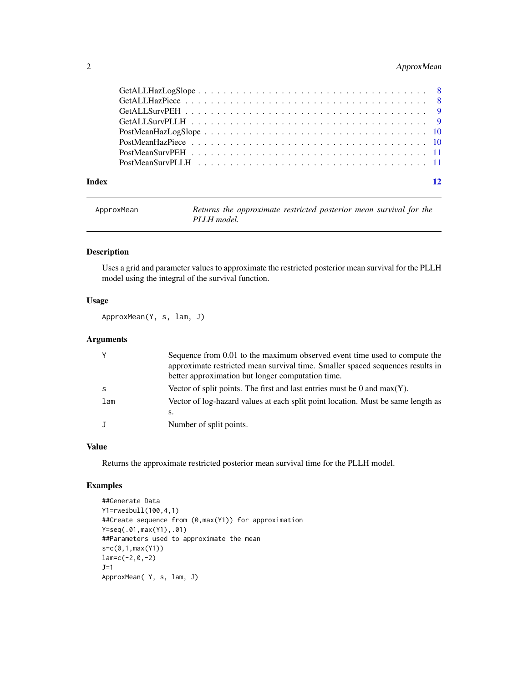## <span id="page-1-0"></span>2 ApproxMean

#### **Index** [12](#page-11-0)

| ApproxMean | Returns the approximate restricted posterior mean survival for the |
|------------|--------------------------------------------------------------------|
|            | PLLH model.                                                        |

## Description

Uses a grid and parameter values to approximate the restricted posterior mean survival for the PLLH model using the integral of the survival function.

## Usage

ApproxMean(Y, s, lam, J)

## Arguments

|     | Sequence from 0.01 to the maximum observed event time used to compute the        |
|-----|----------------------------------------------------------------------------------|
|     | approximate restricted mean survival time. Smaller spaced sequences results in   |
|     | better approximation but longer computation time.                                |
|     | Vector of split points. The first and last entries must be 0 and max $(Y)$ .     |
| lam | Vector of log-hazard values at each split point location. Must be same length as |
|     | S.                                                                               |
|     | Number of split points.                                                          |
|     |                                                                                  |

## Value

Returns the approximate restricted posterior mean survival time for the PLLH model.

#### Examples

```
##Generate Data
Y1=rweibull(100,4,1)
##Create sequence from (0,max(Y1)) for approximation
Y=seq(.01,max(Y1),.01)
##Parameters used to approximate the mean
s=c(0,1,max(Y1))
lam=c(-2,0,-2)
J=1ApproxMean( Y, s, lam, J)
```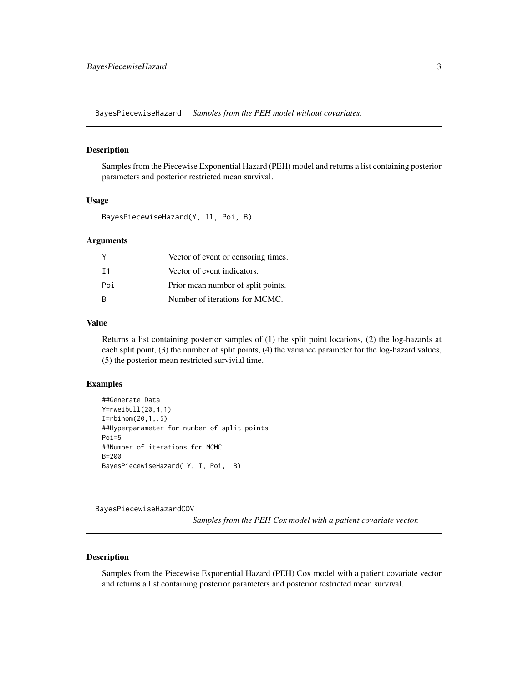<span id="page-2-0"></span>BayesPiecewiseHazard *Samples from the PEH model without covariates.*

#### Description

Samples from the Piecewise Exponential Hazard (PEH) model and returns a list containing posterior parameters and posterior restricted mean survival.

#### Usage

BayesPiecewiseHazard(Y, I1, Poi, B)

#### Arguments

| Υ   | Vector of event or censoring times. |
|-----|-------------------------------------|
| T 1 | Vector of event indicators.         |
| Poi | Prior mean number of split points.  |
| R   | Number of iterations for MCMC.      |

#### Value

Returns a list containing posterior samples of (1) the split point locations, (2) the log-hazards at each split point, (3) the number of split points, (4) the variance parameter for the log-hazard values, (5) the posterior mean restricted survivial time.

## Examples

```
##Generate Data
Y=rweibull(20,4,1)
I=rbinom(20,1,.5)
##Hyperparameter for number of split points
Poi=5
##Number of iterations for MCMC
B=200
BayesPiecewiseHazard( Y, I, Poi, B)
```
BayesPiecewiseHazardCOV

*Samples from the PEH Cox model with a patient covariate vector.*

#### Description

Samples from the Piecewise Exponential Hazard (PEH) Cox model with a patient covariate vector and returns a list containing posterior parameters and posterior restricted mean survival.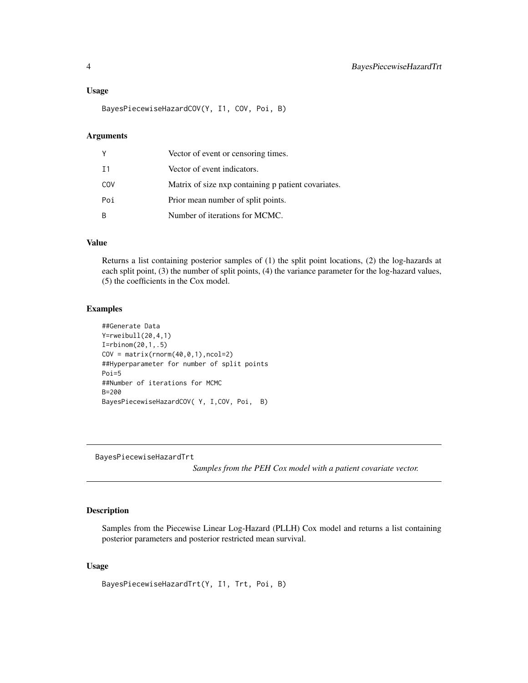#### <span id="page-3-0"></span>Usage

BayesPiecewiseHazardCOV(Y, I1, COV, Poi, B)

#### **Arguments**

| Υ   | Vector of event or censoring times.                 |
|-----|-----------------------------------------------------|
| T 1 | Vector of event indicators.                         |
| COV | Matrix of size nxp containing p patient covariates. |
| Poi | Prior mean number of split points.                  |
| B   | Number of iterations for MCMC.                      |

## Value

Returns a list containing posterior samples of (1) the split point locations, (2) the log-hazards at each split point, (3) the number of split points, (4) the variance parameter for the log-hazard values, (5) the coefficients in the Cox model.

#### Examples

```
##Generate Data
Y=rweibull(20,4,1)
I=rbinom(20,1,.5)
COV = matrix(rnorm(40, 0, 1), ncol=2)##Hyperparameter for number of split points
Poi=5
##Number of iterations for MCMC
B=200
BayesPiecewiseHazardCOV( Y, I,COV, Poi, B)
```
BayesPiecewiseHazardTrt

*Samples from the PEH Cox model with a patient covariate vector.*

#### Description

Samples from the Piecewise Linear Log-Hazard (PLLH) Cox model and returns a list containing posterior parameters and posterior restricted mean survival.

#### Usage

BayesPiecewiseHazardTrt(Y, I1, Trt, Poi, B)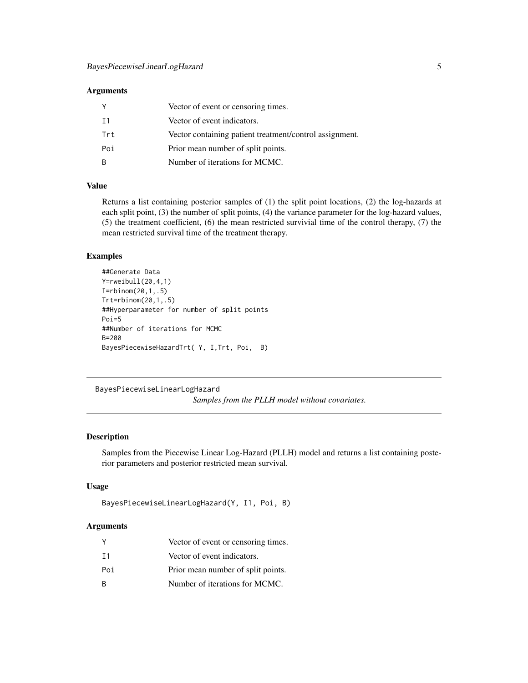## <span id="page-4-0"></span>Arguments

|     | Vector of event or censoring times.                     |
|-----|---------------------------------------------------------|
| T 1 | Vector of event indicators.                             |
| Trt | Vector containing patient treatment/control assignment. |
| Poi | Prior mean number of split points.                      |
| -B  | Number of iterations for MCMC.                          |

## Value

Returns a list containing posterior samples of (1) the split point locations, (2) the log-hazards at each split point, (3) the number of split points, (4) the variance parameter for the log-hazard values, (5) the treatment coefficient, (6) the mean restricted survivial time of the control therapy, (7) the mean restricted survival time of the treatment therapy.

## Examples

```
##Generate Data
Y=rweibull(20,4,1)
I=rbinom(20,1,.5)
Trt=rbinom(20,1,.5)
##Hyperparameter for number of split points
Poi=5
##Number of iterations for MCMC
B=200
BayesPiecewiseHazardTrt( Y, I,Trt, Poi, B)
```
BayesPiecewiseLinearLogHazard

*Samples from the PLLH model without covariates.*

## Description

Samples from the Piecewise Linear Log-Hazard (PLLH) model and returns a list containing posterior parameters and posterior restricted mean survival.

#### Usage

```
BayesPiecewiseLinearLogHazard(Y, I1, Poi, B)
```
## Arguments

|     | Vector of event or censoring times. |
|-----|-------------------------------------|
| T 1 | Vector of event indicators.         |
| Poi | Prior mean number of split points.  |
| R   | Number of iterations for MCMC.      |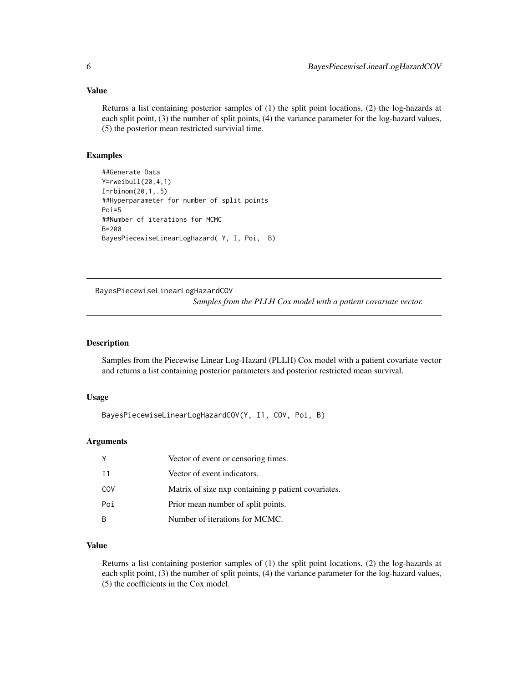## <span id="page-5-0"></span>Value

Returns a list containing posterior samples of (1) the split point locations, (2) the log-hazards at each split point, (3) the number of split points, (4) the variance parameter for the log-hazard values, (5) the posterior mean restricted survivial time.

#### Examples

```
##Generate Data
Y=rweibull(20,4,1)
I=rbinom(20,1,.5)
##Hyperparameter for number of split points
Poi=5
##Number of iterations for MCMC
B=200
BayesPiecewiseLinearLogHazard( Y, I, Poi, B)
```
BayesPiecewiseLinearLogHazardCOV *Samples from the PLLH Cox model with a patient covariate vector.*

#### Description

Samples from the Piecewise Linear Log-Hazard (PLLH) Cox model with a patient covariate vector and returns a list containing posterior parameters and posterior restricted mean survival.

#### Usage

BayesPiecewiseLinearLogHazardCOV(Y, I1, COV, Poi, B)

#### Arguments

| Υ              | Vector of event or censoring times.                 |
|----------------|-----------------------------------------------------|
| T <sub>1</sub> | Vector of event indicators.                         |
| COV            | Matrix of size nxp containing p patient covariates. |
| Poi            | Prior mean number of split points.                  |
| B              | Number of iterations for MCMC.                      |

## Value

Returns a list containing posterior samples of (1) the split point locations, (2) the log-hazards at each split point, (3) the number of split points, (4) the variance parameter for the log-hazard values, (5) the coefficients in the Cox model.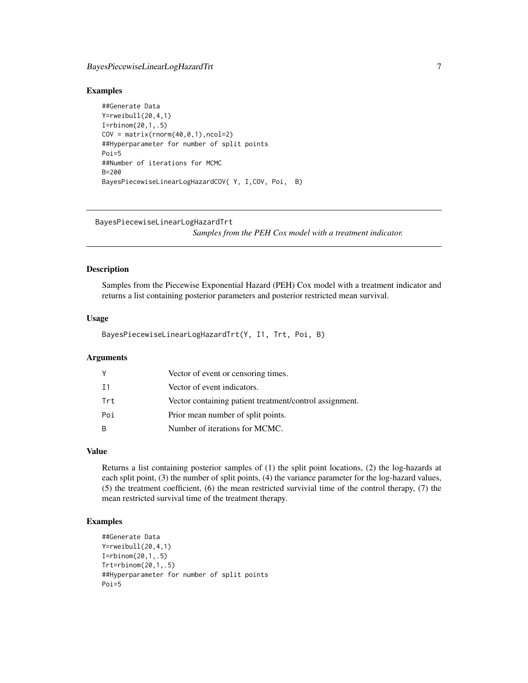## <span id="page-6-0"></span>BayesPiecewiseLinearLogHazardTrt 7

#### Examples

```
##Generate Data
Y=rweibull(20,4,1)
I=rbinom(20,1,.5)
COV = matrix(rnorm(40, 0, 1), ncol=2)##Hyperparameter for number of split points
Poi=5
##Number of iterations for MCMC
R = 200BayesPiecewiseLinearLogHazardCOV( Y, I,COV, Poi, B)
```
#### BayesPiecewiseLinearLogHazardTrt

*Samples from the PEH Cox model with a treatment indicator.*

#### Description

Samples from the Piecewise Exponential Hazard (PEH) Cox model with a treatment indicator and returns a list containing posterior parameters and posterior restricted mean survival.

#### Usage

BayesPiecewiseLinearLogHazardTrt(Y, I1, Trt, Poi, B)

#### Arguments

|     | Vector of event or censoring times.                     |
|-----|---------------------------------------------------------|
| Ι1  | Vector of event indicators.                             |
| Trt | Vector containing patient treatment/control assignment. |
| Poi | Prior mean number of split points.                      |
| B.  | Number of iterations for MCMC.                          |

## Value

Returns a list containing posterior samples of (1) the split point locations, (2) the log-hazards at each split point, (3) the number of split points, (4) the variance parameter for the log-hazard values, (5) the treatment coefficient, (6) the mean restricted survivial time of the control therapy, (7) the mean restricted survival time of the treatment therapy.

#### Examples

```
##Generate Data
Y=rweibull(20,4,1)
I=rbinom(20,1,.5)
Trt=rbinom(20,1,.5)
##Hyperparameter for number of split points
Poi=5
```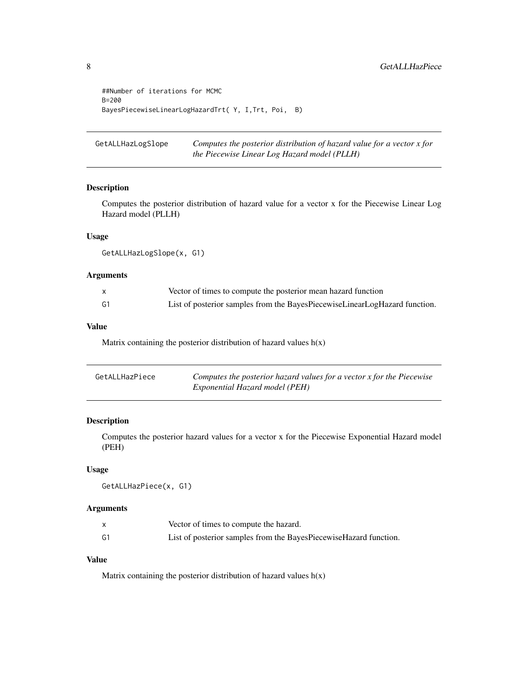```
##Number of iterations for MCMC
B=200
BayesPiecewiseLinearLogHazardTrt( Y, I,Trt, Poi, B)
```
GetALLHazLogSlope *Computes the posterior distribution of hazard value for a vector x for the Piecewise Linear Log Hazard model (PLLH)*

## Description

Computes the posterior distribution of hazard value for a vector x for the Piecewise Linear Log Hazard model (PLLH)

## Usage

```
GetALLHazLogSlope(x, G1)
```
## Arguments

|    | Vector of times to compute the posterior mean hazard function              |
|----|----------------------------------------------------------------------------|
| G1 | List of posterior samples from the BayesPiecewiseLinearLogHazard function. |

#### Value

Matrix containing the posterior distribution of hazard values  $h(x)$ 

| GetALLHazPiece | Computes the posterior hazard values for a vector x for the Piecewise |
|----------------|-----------------------------------------------------------------------|
|                | Exponential Hazard model (PEH)                                        |

#### Description

Computes the posterior hazard values for a vector x for the Piecewise Exponential Hazard model (PEH)

## Usage

```
GetALLHazPiece(x, G1)
```
## Arguments

|    | Vector of times to compute the hazard.                            |
|----|-------------------------------------------------------------------|
| G1 | List of posterior samples from the BayesPiecewiseHazard function. |

#### Value

Matrix containing the posterior distribution of hazard values  $h(x)$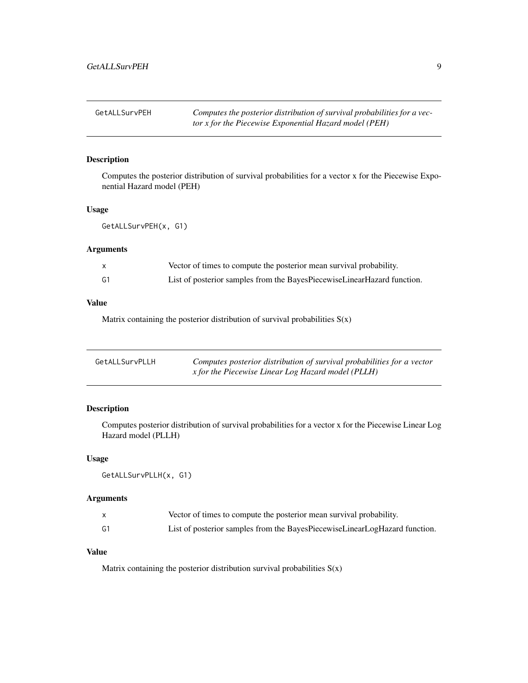<span id="page-8-0"></span>GetALLSurvPEH *Computes the posterior distribution of survival probabilities for a vector x for the Piecewise Exponential Hazard model (PEH)*

## Description

Computes the posterior distribution of survival probabilities for a vector x for the Piecewise Exponential Hazard model (PEH)

## Usage

GetALLSurvPEH(x, G1)

#### Arguments

|    | Vector of times to compute the posterior mean survival probability.     |
|----|-------------------------------------------------------------------------|
| G1 | List of posterior samples from the BayesPiecewiseLinearHazard function. |

## Value

Matrix containing the posterior distribution of survival probabilities  $S(x)$ 

| GetALLSurvPLLH | Computes posterior distribution of survival probabilities for a vector |
|----------------|------------------------------------------------------------------------|
|                | <i>x</i> for the Piecewise Linear Log Hazard model (PLLH)              |

## Description

Computes posterior distribution of survival probabilities for a vector x for the Piecewise Linear Log Hazard model (PLLH)

#### Usage

GetALLSurvPLLH(x, G1)

## Arguments

|    | Vector of times to compute the posterior mean survival probability.        |
|----|----------------------------------------------------------------------------|
| G1 | List of posterior samples from the BayesPiecewiseLinearLogHazard function. |

## Value

Matrix containing the posterior distribution survival probabilities  $S(x)$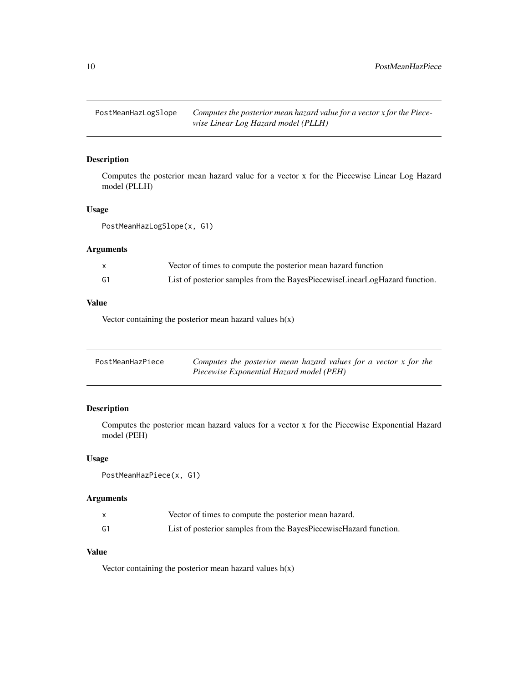<span id="page-9-0"></span>PostMeanHazLogSlope *Computes the posterior mean hazard value for a vector x for the Piecewise Linear Log Hazard model (PLLH)*

## Description

Computes the posterior mean hazard value for a vector x for the Piecewise Linear Log Hazard model (PLLH)

## Usage

PostMeanHazLogSlope(x, G1)

## Arguments

|    | Vector of times to compute the posterior mean hazard function              |
|----|----------------------------------------------------------------------------|
| G1 | List of posterior samples from the BayesPiecewiseLinearLogHazard function. |

## Value

Vector containing the posterior mean hazard values  $h(x)$ 

| PostMeanHazPiece | Computes the posterior mean hazard values for a vector $x$ for the |
|------------------|--------------------------------------------------------------------|
|                  | Piecewise Exponential Hazard model (PEH)                           |

## Description

Computes the posterior mean hazard values for a vector x for the Piecewise Exponential Hazard model (PEH)

#### Usage

```
PostMeanHazPiece(x, G1)
```
## Arguments

|    | Vector of times to compute the posterior mean hazard.             |
|----|-------------------------------------------------------------------|
| G1 | List of posterior samples from the BayesPiecewiseHazard function. |

## Value

Vector containing the posterior mean hazard values  $h(x)$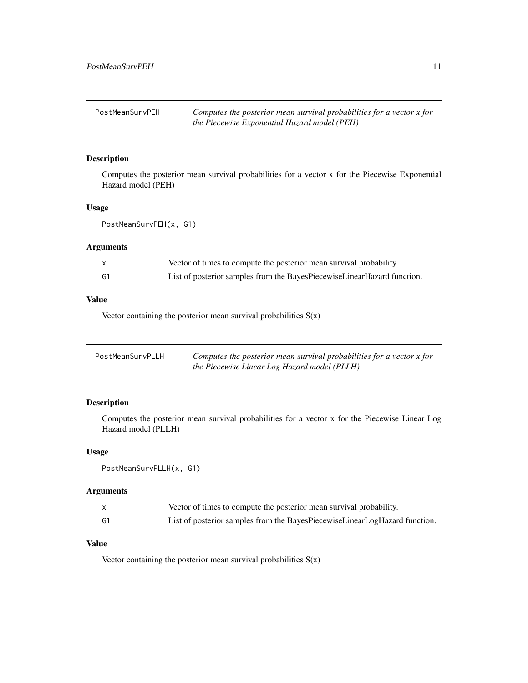<span id="page-10-0"></span>PostMeanSurvPEH *Computes the posterior mean survival probabilities for a vector x for the Piecewise Exponential Hazard model (PEH)*

## Description

Computes the posterior mean survival probabilities for a vector x for the Piecewise Exponential Hazard model (PEH)

## Usage

```
PostMeanSurvPEH(x, G1)
```
#### Arguments

|    | Vector of times to compute the posterior mean survival probability.     |
|----|-------------------------------------------------------------------------|
| G1 | List of posterior samples from the BayesPiecewiseLinearHazard function. |

## Value

Vector containing the posterior mean survival probabilities  $S(x)$ 

| PostMeanSurvPLLH | Computes the posterior mean survival probabilities for a vector $x$ for |
|------------------|-------------------------------------------------------------------------|
|                  | the Piecewise Linear Log Hazard model (PLLH)                            |

## Description

Computes the posterior mean survival probabilities for a vector x for the Piecewise Linear Log Hazard model (PLLH)

#### Usage

```
PostMeanSurvPLLH(x, G1)
```
#### Arguments

|                | Vector of times to compute the posterior mean survival probability.        |
|----------------|----------------------------------------------------------------------------|
| G <sub>1</sub> | List of posterior samples from the BayesPiecewiseLinearLogHazard function. |

## Value

Vector containing the posterior mean survival probabilities  $S(x)$